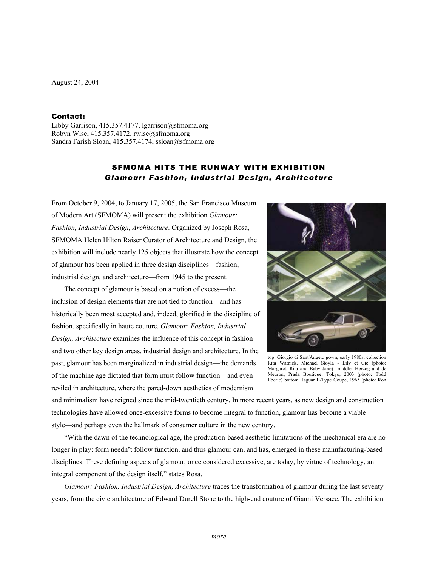August 24, 2004

### Contact:

Libby Garrison, 415.357.4177, lgarrison@sfmoma.org Robyn Wise, 415.357.4172, rwise@sfmoma.org Sandra Farish Sloan, 415.357.4174, ssloan@sfmoma.org

# SFMOMA HITS THE RUNWAY WITH EXHIBITION *Glamour: Fashion, Industrial Design, Architecture*

From October 9, 2004, to January 17, 2005, the San Francisco Museum of Modern Art (SFMOMA) will present the exhibition *Glamour: Fashion, Industrial Design, Architecture*. Organized by Joseph Rosa, SFMOMA Helen Hilton Raiser Curator of Architecture and Design, the exhibition will include nearly 125 objects that illustrate how the concept of glamour has been applied in three design disciplines—fashion, industrial design, and architecture—from 1945 to the present.

 The concept of glamour is based on a notion of excess—the inclusion of design elements that are not tied to function—and has historically been most accepted and, indeed, glorified in the discipline of fashion, specifically in haute couture. *Glamour: Fashion, Industrial Design, Architecture* examines the influence of this concept in fashion and two other key design areas, industrial design and architecture. In the past, glamour has been marginalized in industrial design—the demands of the machine age dictated that form must follow function—and even reviled in architecture, where the pared-down aesthetics of modernism



top: Giorgio di Sant'Angelo gown, early 1980s; collection Rita Watnick, Michael Stoyla - Lily et Cie (photo: Margaret, Rita and Baby Jane) middle: Herzog and de Meuron, Prada Boutique, Tokyo, 2003 (photo: Todd Eberle) bottom: Jaguar E-Type Coupe, 1965 (photo: Ron

and minimalism have reigned since the mid-twentieth century. In more recent years, as new design and construction technologies have allowed once-excessive forms to become integral to function, glamour has become a viable style—and perhaps even the hallmark of consumer culture in the new century.

"With the dawn of the technological age, the production-based aesthetic limitations of the mechanical era are no longer in play: form needn't follow function, and thus glamour can, and has, emerged in these manufacturing-based disciplines. These defining aspects of glamour, once considered excessive, are today, by virtue of technology, an integral component of the design itself," states Rosa.

*Glamour: Fashion, Industrial Design, Architecture* traces the transformation of glamour during the last seventy years, from the civic architecture of Edward Durell Stone to the high-end couture of Gianni Versace. The exhibition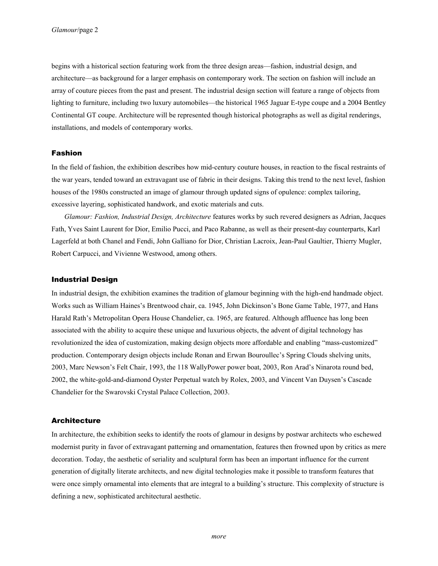begins with a historical section featuring work from the three design areas—fashion, industrial design, and architecture—as background for a larger emphasis on contemporary work. The section on fashion will include an array of couture pieces from the past and present. The industrial design section will feature a range of objects from lighting to furniture, including two luxury automobiles—the historical 1965 Jaguar E-type coupe and a 2004 Bentley Continental GT coupe. Architecture will be represented though historical photographs as well as digital renderings, installations, and models of contemporary works.

## Fashion

In the field of fashion, the exhibition describes how mid-century couture houses, in reaction to the fiscal restraints of the war years, tended toward an extravagant use of fabric in their designs. Taking this trend to the next level, fashion houses of the 1980s constructed an image of glamour through updated signs of opulence: complex tailoring, excessive layering, sophisticated handwork, and exotic materials and cuts.

*Glamour: Fashion, Industrial Design, Architecture* features works by such revered designers as Adrian, Jacques Fath, Yves Saint Laurent for Dior, Emilio Pucci, and Paco Rabanne, as well as their present-day counterparts, Karl Lagerfeld at both Chanel and Fendi, John Galliano for Dior, Christian Lacroix, Jean-Paul Gaultier, Thierry Mugler, Robert Carpucci, and Vivienne Westwood, among others.

### Industrial Design

In industrial design, the exhibition examines the tradition of glamour beginning with the high-end handmade object. Works such as William Haines's Brentwood chair, ca. 1945, John Dickinson's Bone Game Table, 1977, and Hans Harald Rath's Metropolitan Opera House Chandelier, ca. 1965, are featured. Although affluence has long been associated with the ability to acquire these unique and luxurious objects, the advent of digital technology has revolutionized the idea of customization, making design objects more affordable and enabling "mass-customized" production. Contemporary design objects include Ronan and Erwan Bouroullec's Spring Clouds shelving units, 2003, Marc Newson's Felt Chair, 1993, the 118 WallyPower power boat, 2003, Ron Arad's Ninarota round bed, 2002, the white-gold-and-diamond Oyster Perpetual watch by Rolex, 2003, and Vincent Van Duysen's Cascade Chandelier for the Swarovski Crystal Palace Collection, 2003.

## **Architecture**

In architecture, the exhibition seeks to identify the roots of glamour in designs by postwar architects who eschewed modernist purity in favor of extravagant patterning and ornamentation, features then frowned upon by critics as mere decoration. Today, the aesthetic of seriality and sculptural form has been an important influence for the current generation of digitally literate architects, and new digital technologies make it possible to transform features that were once simply ornamental into elements that are integral to a building's structure. This complexity of structure is defining a new, sophisticated architectural aesthetic.